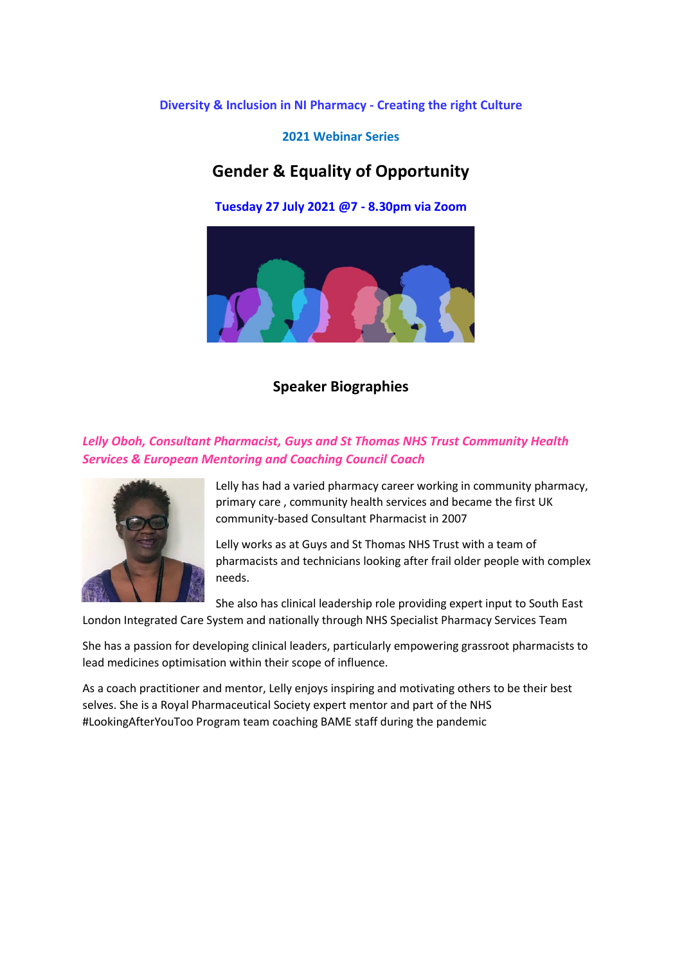**Diversity & Inclusion in NI Pharmacy - Creating the right Culture** 

**2021 Webinar Series**

# **Gender & Equality of Opportunity**

**Tuesday 27 July 2021 @7 - 8.30pm via Zoom**



**Speaker Biographies**

## *Lelly Oboh, Consultant Pharmacist, Guys and St Thomas NHS Trust Community Health Services & European Mentoring and Coaching Council Coach*



Lelly has had a varied pharmacy career working in community pharmacy, primary care , community health services and became the first UK community-based Consultant Pharmacist in 2007

Lelly works as at Guys and St Thomas NHS Trust with a team of pharmacists and technicians looking after frail older people with complex needs.

She also has clinical leadership role providing expert input to South East London Integrated Care System and nationally through NHS Specialist Pharmacy Services Team

She has a passion for developing clinical leaders, particularly empowering grassroot pharmacists to lead medicines optimisation within their scope of influence.

As a coach practitioner and mentor, Lelly enjoys inspiring and motivating others to be their best selves. She is a Royal Pharmaceutical Society expert mentor and part of the NHS #LookingAfterYouToo Program team coaching BAME staff during the pandemic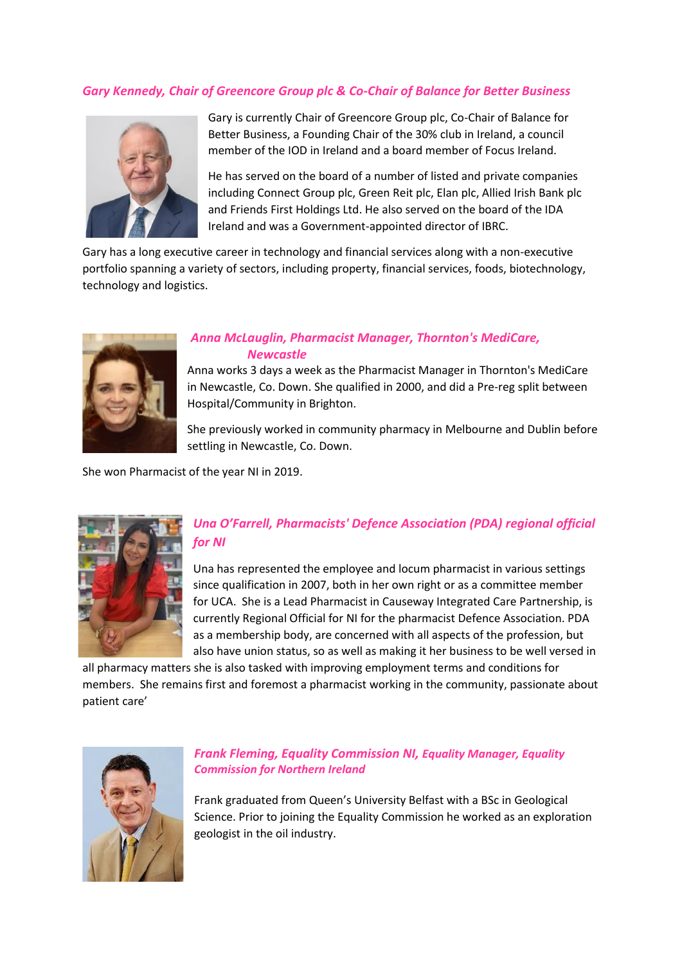#### *Gary Kennedy, Chair of Greencore Group plc & Co-Chair of Balance for Better Business*



Gary is currently Chair of Greencore Group plc, Co-Chair of Balance for Better Business, a Founding Chair of the 30% club in Ireland, a council member of the IOD in Ireland and a board member of Focus Ireland.

He has served on the board of a number of listed and private companies including Connect Group plc, Green Reit plc, Elan plc, Allied Irish Bank plc and Friends First Holdings Ltd. He also served on the board of the IDA Ireland and was a Government-appointed director of IBRC.

Gary has a long executive career in technology and financial services along with a non-executive portfolio spanning a variety of sectors, including property, financial services, foods, biotechnology, technology and logistics.



### *Anna McLauglin, Pharmacist Manager, Thornton's MediCare, Newcastle*

Anna works 3 days a week as the Pharmacist Manager in Thornton's MediCare in Newcastle, Co. Down. She qualified in 2000, and did a Pre-reg split between Hospital/Community in Brighton.

She previously worked in community pharmacy in Melbourne and Dublin before settling in Newcastle, Co. Down.

She won Pharmacist of the year NI in 2019.



# *Una O'Farrell, Pharmacists' Defence Association (PDA) regional official for NI*

Una has represented the employee and locum pharmacist in various settings since qualification in 2007, both in her own right or as a committee member for UCA. She is a Lead Pharmacist in Causeway Integrated Care Partnership, is currently Regional Official for NI for the pharmacist Defence Association. PDA as a membership body, are concerned with all aspects of the profession, but also have union status, so as well as making it her business to be well versed in

all pharmacy matters she is also tasked with improving employment terms and conditions for members. She remains first and foremost a pharmacist working in the community, passionate about patient care'



#### *Frank Fleming, Equality Commission NI, Equality Manager, Equality Commission for Northern Ireland*

Frank graduated from Queen's University Belfast with a BSc in Geological Science. Prior to joining the Equality Commission he worked as an exploration geologist in the oil industry.